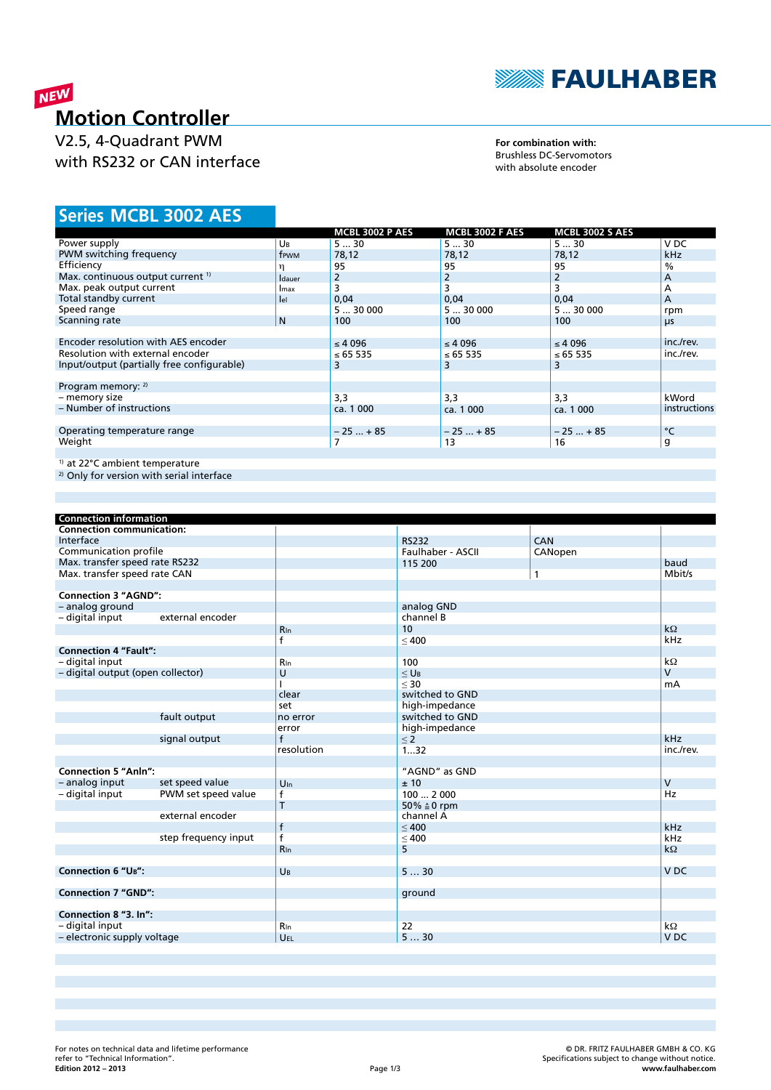

## NEW **Motion Controller**

V2.5, 4-Quadrant PWM with RS232 or CAN interface

**For combination with:** Brushless DC-Servomotors with absolute encoder

## **MCBL 3002 AES Series**

|                                              |                | <b>MCBL 3002 P AES</b> | <b>MCBL 3002 F AES</b> | <b>MCBL 3002 S AES</b> |               |
|----------------------------------------------|----------------|------------------------|------------------------|------------------------|---------------|
| Power supply                                 | Uв             | 530                    | 530                    | 530                    | V DC          |
| PWM switching frequency                      | frwm           | 78,12                  | 78,12                  | 78,12                  | <b>kHz</b>    |
| Efficiency                                   | η              | 95                     | 95                     | 95                     | $\frac{0}{0}$ |
| Max. continuous output current <sup>1)</sup> | <b>I</b> dauer | 2                      | 2                      | 2                      | A             |
| Max. peak output current                     | <b>I</b> max   | 3                      | 3                      |                        | A             |
| Total standby current                        | lel            | 0,04                   | 0,04                   | 0,04                   | A             |
| Speed range                                  |                | 530000                 | 530000                 | 530000                 | rpm           |
| Scanning rate                                | N              | 100                    | 100                    | 100                    | μs            |
|                                              |                |                        |                        |                        |               |
| Encoder resolution with AES encoder          |                | $\leq 4096$            | $\leq 4096$            | $\leq 4096$            | inc./rev.     |
| Resolution with external encoder             |                | ≤ 65 535               | ≤ 65 535               | ≤ 65 535               | inc./rev.     |
| Input/output (partially free configurable)   |                | 3                      | 3                      | 3                      |               |
|                                              |                |                        |                        |                        |               |
| Program memory: 2)                           |                |                        |                        |                        |               |
| - memory size                                |                | 3,3                    | 3,3                    | 3,3                    | kWord         |
| - Number of instructions                     |                | ca. 1 000              | ca. 1 000              | ca. 1 000              | instructions  |
|                                              |                |                        |                        |                        |               |
| Operating temperature range                  |                | $-25+85$               | $-25+85$               | $-25+85$               | °C            |
| Weight                                       |                |                        | 13                     | 16                     | g             |
|                                              |                |                        |                        |                        |               |
| <sup>1)</sup> at 22°C ambient temperature    |                |                        |                        |                        |               |

2) Only for version with serial interface

| <b>Connection information</b>     |                      |                 |                        |              |                 |
|-----------------------------------|----------------------|-----------------|------------------------|--------------|-----------------|
| <b>Connection communication:</b>  |                      |                 |                        |              |                 |
| Interface                         |                      |                 | <b>RS232</b>           | <b>CAN</b>   |                 |
| Communication profile             |                      |                 | Faulhaber - ASCII      | CANopen      |                 |
| Max. transfer speed rate RS232    |                      |                 | 115 200                |              | baud            |
| Max. transfer speed rate CAN      |                      |                 |                        | $\mathbf{1}$ | Mbit/s          |
|                                   |                      |                 |                        |              |                 |
| <b>Connection 3 "AGND":</b>       |                      |                 |                        |              |                 |
| - analog ground                   |                      |                 | analog GND             |              |                 |
| - digital input                   | external encoder     |                 | channel B              |              |                 |
|                                   |                      | $R_{\ln}$       | 10                     |              | $k\Omega$       |
|                                   |                      | f               | $\leq 400$             |              | kHz             |
| <b>Connection 4 "Fault":</b>      |                      |                 |                        |              |                 |
| - digital input                   |                      | Rin             | 100                    |              | $k\Omega$       |
| - digital output (open collector) |                      | U               | $<$ U <sub>B</sub>     |              | $\overline{V}$  |
|                                   |                      |                 | $\leq 30$              |              | mA              |
|                                   |                      | clear           | switched to GND        |              |                 |
|                                   |                      | set             | high-impedance         |              |                 |
|                                   | fault output         | no error        | switched to GND        |              |                 |
|                                   |                      | error           | high-impedance         |              |                 |
|                                   | signal output        | $\mathsf{f}$    | $\leq$ 2               |              | kHz             |
|                                   |                      | resolution      | $\overline{1}32$       |              | inc./rev.       |
|                                   |                      |                 |                        |              |                 |
| <b>Connection 5 "Anln":</b>       |                      |                 | "AGND" as GND          |              |                 |
| - analog input                    | set speed value      | $U_{\text{In}}$ | ±10                    |              | $\vee$          |
| - digital input                   | PWM set speed value  | $\mathsf{f}$    | 1002000                |              | Hz              |
|                                   |                      | T               | 50% $\triangleq$ 0 rpm |              |                 |
|                                   | external encoder     |                 | channel A              |              |                 |
|                                   |                      | $\mathsf{f}$    | < 400                  |              | kHz             |
|                                   | step frequency input | $\mathsf{f}$    | $\leq 400$             |              | kHz             |
|                                   |                      | $R_{\ln}$       | 5                      |              | $k\Omega$       |
|                                   |                      |                 |                        |              |                 |
| <b>Connection 6 "UB":</b>         |                      | UB              | 530                    |              | V <sub>DC</sub> |
|                                   |                      |                 |                        |              |                 |
| <b>Connection 7 "GND":</b>        |                      |                 | ground                 |              |                 |
|                                   |                      |                 |                        |              |                 |
| Connection 8 "3. In":             |                      |                 |                        |              |                 |
| - digital input                   |                      | $R_{\ln}$       | 22                     |              | $k\Omega$       |
| - electronic supply voltage       |                      | UEL             | 530                    |              | V <sub>DC</sub> |
|                                   |                      |                 |                        |              |                 |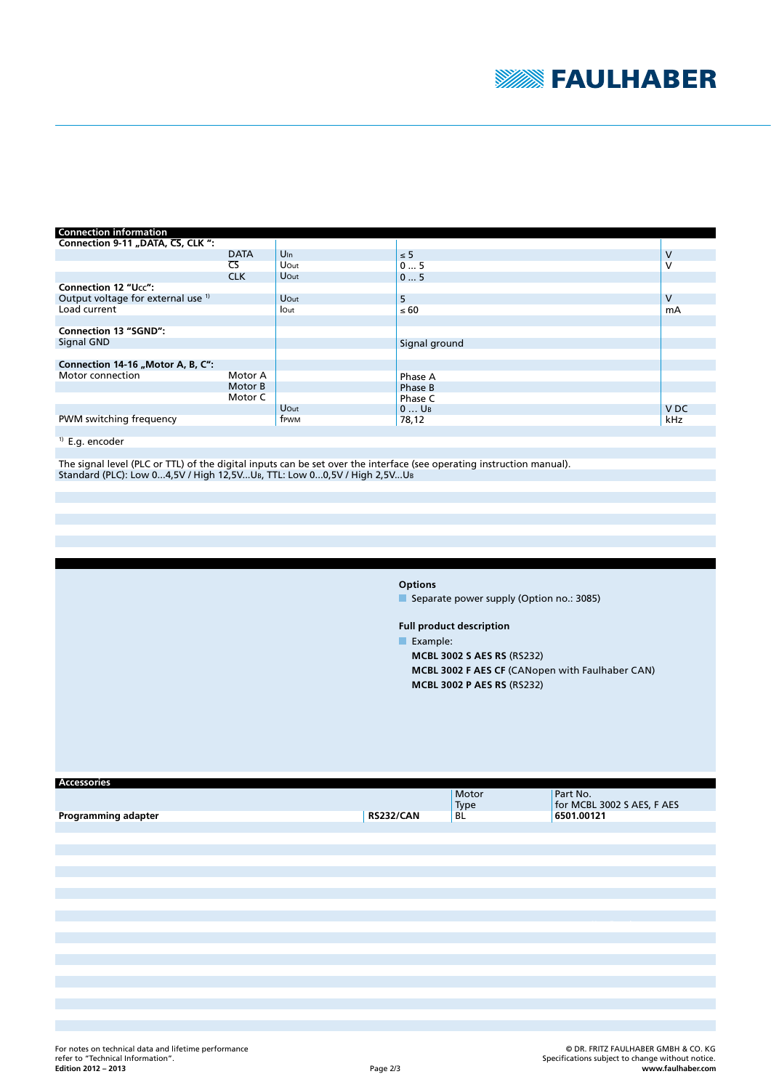

| <b>Connection information</b>                 |                        |                 |                    |                 |
|-----------------------------------------------|------------------------|-----------------|--------------------|-----------------|
| Connection 9-11 "DATA, CS, CLK ":             |                        |                 |                    |                 |
|                                               | <b>DATA</b>            | $U_{\text{In}}$ | $\leq$ 5           | v               |
|                                               | $\overline{\text{CS}}$ | Uout            | 05                 | v               |
|                                               | <b>CLK</b>             | Uout            | 05                 |                 |
| <b>Connection 12 "Ucc":</b>                   |                        |                 |                    |                 |
| Output voltage for external use <sup>1)</sup> |                        | Uout            | 5                  | v               |
| Load current                                  |                        | lout            | $\leq 60$          | mA              |
|                                               |                        |                 |                    |                 |
| <b>Connection 13 "SGND":</b>                  |                        |                 |                    |                 |
| Signal GND                                    |                        |                 | Signal ground      |                 |
|                                               |                        |                 |                    |                 |
| Connection 14-16 "Motor A, B, C":             |                        |                 |                    |                 |
| Motor connection                              | Motor A                |                 | Phase A            |                 |
|                                               | Motor B                |                 | Phase B            |                 |
|                                               | Motor C                |                 | Phase C            |                 |
|                                               |                        | Uout            | $0$ U <sub>B</sub> | V <sub>DC</sub> |
| PWM switching frequency                       |                        | frwm            | 78,12              | kHz             |

## <sup>1)</sup> E.g. encoder

The signal level (PLC or TTL) of the digital inputs can be set over the interface (see operating instruction manual). Standard (PLC): Low 0...4,5V / High 12,5V...UB, TTL: Low 0...0,5V / High 2,5V...UB

**Options**

Separate power supply (Option no.: 3085)

**Full product description**

Example:

**MCBL 3002 S AES RS** (RS232) **MCBL 3002 F AES CF** (CANopen with Faulhaber CAN) **MCBL 3002 P AES RS** (RS232)

| <b>Accessories</b>  |                  |       |                            |
|---------------------|------------------|-------|----------------------------|
|                     |                  | Motor | Part No.                   |
|                     |                  | Type  | for MCBL 3002 S AES, F AES |
| Programming adapter | <b>RS232/CAN</b> | BL    | 6501.00121                 |
|                     |                  |       |                            |
|                     |                  |       |                            |
|                     |                  |       |                            |
|                     |                  |       |                            |
|                     |                  |       |                            |
|                     |                  |       |                            |
|                     |                  |       |                            |
|                     |                  |       |                            |
|                     |                  |       |                            |
|                     |                  |       |                            |
|                     |                  |       |                            |
|                     |                  |       |                            |
|                     |                  |       |                            |
|                     |                  |       |                            |
|                     |                  |       |                            |
|                     |                  |       |                            |
|                     |                  |       |                            |
|                     |                  |       |                            |
|                     |                  |       |                            |
|                     |                  |       |                            |
|                     |                  |       |                            |
|                     |                  |       |                            |
|                     |                  |       |                            |
|                     |                  |       |                            |